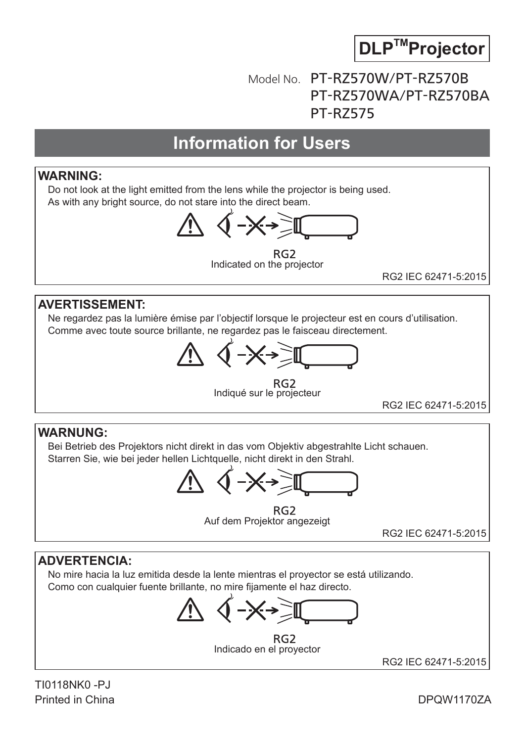

# Model No. PT-RZ570W/PT-RZ570B PT-RZ570WA/PT-RZ570BA PT-RZ575

# **Information for Users**

#### **WARNING:**

Do not look at the light emitted from the lens while the projector is being used. As with any bright source, do not stare into the direct beam.



RG<sub>2</sub> Indicated on the projector

RG2 IEC 62471-5:2015

#### **AVERTISSEMENT:**

Ne regardez pas la lumière émise par l'objectif lorsque le projecteur est en cours d'utilisation. Comme avec toute source brillante, ne regardez pas le faisceau directement.



RG2<br>Indiqué sur le projecteur

RG2 IEC 62471-5:2015

#### **WARNUNG:**

Bei Betrieb des Projektors nicht direkt in das vom Objektiv abgestrahlte Licht schauen. Starren Sie, wie bei jeder hellen Lichtquelle, nicht direkt in den Strahl.

RG<sub>2</sub> Auf dem Projektor angezeigt

RG2 IEC 62471-5:2015

#### **ADVERTENCIA:**

No mire hacia la luz emitida desde la lente mientras el proyector se está utilizando. Como con cualquier fuente brillante, no mire fijamente el haz directo.

RG<sub>2</sub> Indicado en el proyector

RG2 IEC 62471-5:2015

TI0118NK0 -PJ Printed in China

DPQW1170ZA